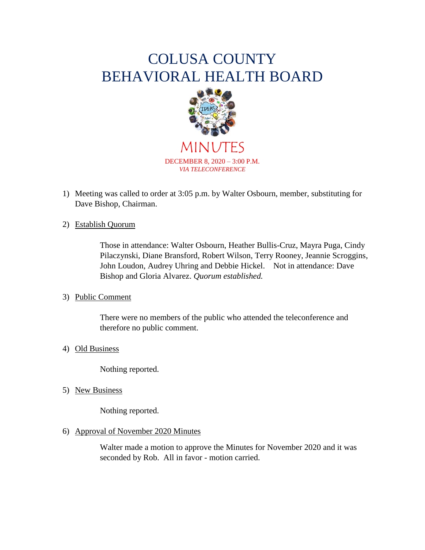# COLUSA COUNTY BEHAVIORAL HEALTH BOARD



MINUTES DECEMBER 8, 2020 – 3:00 P.M. *VIA TELECONFERENCE*

1) Meeting was called to order at 3:05 p.m. by Walter Osbourn, member, substituting for Dave Bishop, Chairman.

# 2) Establish Quorum

Those in attendance: Walter Osbourn, Heather Bullis-Cruz, Mayra Puga, Cindy Pilaczynski, Diane Bransford, Robert Wilson, Terry Rooney, Jeannie Scroggins, John Loudon, Audrey Uhring and Debbie Hickel. Not in attendance: Dave Bishop and Gloria Alvarez. *Quorum established.*

## 3) Public Comment

There were no members of the public who attended the teleconference and therefore no public comment.

## 4) Old Business

Nothing reported.

5) New Business

Nothing reported.

## 6) Approval of November 2020 Minutes

Walter made a motion to approve the Minutes for November 2020 and it was seconded by Rob. All in favor - motion carried.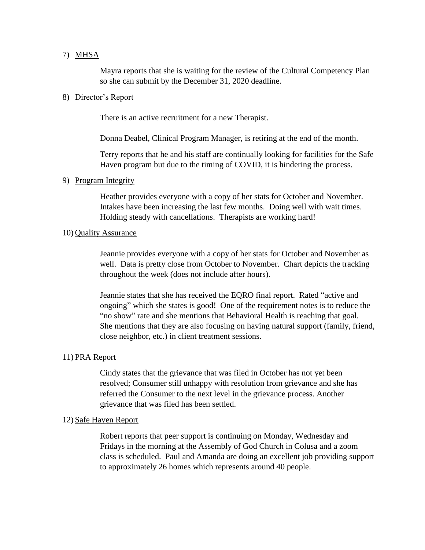## 7) MHSA

Mayra reports that she is waiting for the review of the Cultural Competency Plan so she can submit by the December 31, 2020 deadline.

#### 8) Director's Report

There is an active recruitment for a new Therapist.

Donna Deabel, Clinical Program Manager, is retiring at the end of the month.

Terry reports that he and his staff are continually looking for facilities for the Safe Haven program but due to the timing of COVID, it is hindering the process.

# 9) Program Integrity

Heather provides everyone with a copy of her stats for October and November. Intakes have been increasing the last few months. Doing well with wait times. Holding steady with cancellations. Therapists are working hard!

## 10) Quality Assurance

Jeannie provides everyone with a copy of her stats for October and November as well. Data is pretty close from October to November. Chart depicts the tracking throughout the week (does not include after hours).

Jeannie states that she has received the EQRO final report. Rated "active and ongoing" which she states is good! One of the requirement notes is to reduce the "no show" rate and she mentions that Behavioral Health is reaching that goal. She mentions that they are also focusing on having natural support (family, friend, close neighbor, etc.) in client treatment sessions.

## 11) PRA Report

Cindy states that the grievance that was filed in October has not yet been resolved; Consumer still unhappy with resolution from grievance and she has referred the Consumer to the next level in the grievance process. Another grievance that was filed has been settled.

#### 12) Safe Haven Report

Robert reports that peer support is continuing on Monday, Wednesday and Fridays in the morning at the Assembly of God Church in Colusa and a zoom class is scheduled. Paul and Amanda are doing an excellent job providing support to approximately 26 homes which represents around 40 people.